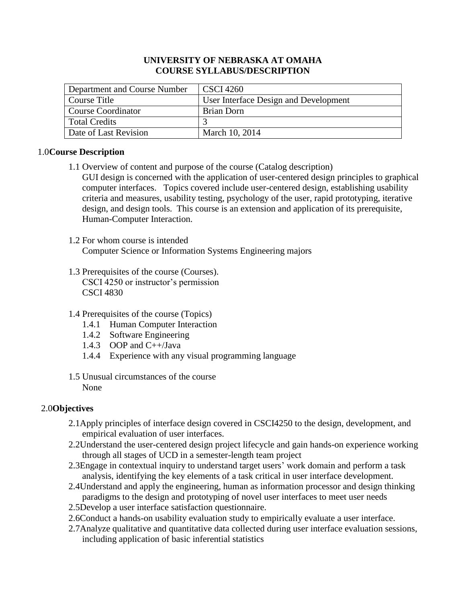## **UNIVERSITY OF NEBRASKA AT OMAHA COURSE SYLLABUS/DESCRIPTION**

| Department and Course Number | <b>CSCI</b> 4260                      |
|------------------------------|---------------------------------------|
| Course Title                 | User Interface Design and Development |
| <b>Course Coordinator</b>    | Brian Dorn                            |
| Total Credits                |                                       |
| Date of Last Revision        | March 10, 2014                        |

# 1.0**Course Description**

- 1.1 Overview of content and purpose of the course (Catalog description) GUI design is concerned with the application of user-centered design principles to graphical computer interfaces. Topics covered include user-centered design, establishing usability criteria and measures, usability testing, psychology of the user, rapid prototyping, iterative design, and design tools. This course is an extension and application of its prerequisite, Human-Computer Interaction.
- 1.2 For whom course is intended Computer Science or Information Systems Engineering majors
- 1.3 Prerequisites of the course (Courses). CSCI 4250 or instructor's permission CSCI 4830
- 1.4 Prerequisites of the course (Topics)
	- 1.4.1 Human Computer Interaction
	- 1.4.2 Software Engineering
	- 1.4.3 OOP and C++/Java
	- 1.4.4 Experience with any visual programming language
- 1.5 Unusual circumstances of the course None

# 2.0**Objectives**

- 2.1Apply principles of interface design covered in CSCI4250 to the design, development, and empirical evaluation of user interfaces.
- 2.2Understand the user-centered design project lifecycle and gain hands-on experience working through all stages of UCD in a semester-length team project
- 2.3Engage in contextual inquiry to understand target users' work domain and perform a task analysis, identifying the key elements of a task critical in user interface development.
- 2.4Understand and apply the engineering, human as information processor and design thinking paradigms to the design and prototyping of novel user interfaces to meet user needs
- 2.5Develop a user interface satisfaction questionnaire.
- 2.6Conduct a hands-on usability evaluation study to empirically evaluate a user interface.
- 2.7Analyze qualitative and quantitative data collected during user interface evaluation sessions, including application of basic inferential statistics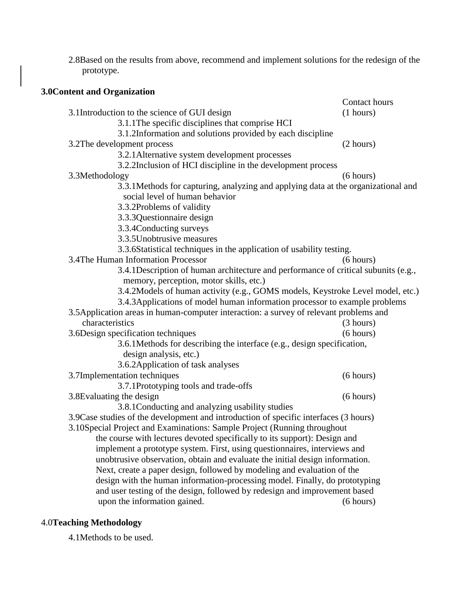2.8Based on the results from above, recommend and implement solutions for the redesign of the prototype.

| 3.0 Content and Organization                                                           |               |
|----------------------------------------------------------------------------------------|---------------|
|                                                                                        | Contact hours |
| 3.1Introduction to the science of GUI design                                           | (1 hours)     |
| 3.1.1 The specific disciplines that comprise HCI                                       |               |
| 3.1.2Information and solutions provided by each discipline                             |               |
|                                                                                        |               |
| 3.2The development process                                                             | (2 hours)     |
| 3.2.1 Alternative system development processes                                         |               |
| 3.2.2Inclusion of HCI discipline in the development process                            |               |
| 3.3Methodology                                                                         | (6 hours)     |
| 3.3.1 Methods for capturing, analyzing and applying data at the organizational and     |               |
| social level of human behavior                                                         |               |
| 3.3.2Problems of validity                                                              |               |
| 3.3.3 Questionnaire design                                                             |               |
| 3.3.4 Conducting surveys                                                               |               |
| 3.3.5 Unobtrusive measures                                                             |               |
| 3.3.6Statistical techniques in the application of usability testing.                   |               |
| 3.4The Human Information Processor                                                     | (6 hours)     |
| 3.4.1 Description of human architecture and performance of critical subunits (e.g.,    |               |
| memory, perception, motor skills, etc.)                                                |               |
| 3.4.2Models of human activity (e.g., GOMS models, Keystroke Level model, etc.)         |               |
| 3.4.3 Applications of model human information processor to example problems            |               |
| 3.5 Application areas in human-computer interaction: a survey of relevant problems and |               |
| characteristics                                                                        | (3 hours)     |
| 3.6Design specification techniques                                                     | (6 hours)     |
| 3.6.1 Methods for describing the interface (e.g., design specification,                |               |
| design analysis, etc.)                                                                 |               |
| 3.6.2 Application of task analyses                                                     |               |
| 3.7Implementation techniques                                                           | (6 hours)     |
| 3.7.1Prototyping tools and trade-offs                                                  |               |
| 3.8Evaluating the design                                                               | (6 hours)     |
| 3.8.1 Conducting and analyzing usability studies                                       |               |
| 3.9 Case studies of the development and introduction of specific interfaces (3 hours)  |               |
| 3.10Special Project and Examinations: Sample Project (Running throughout               |               |
| the course with lectures devoted specifically to its support): Design and              |               |
| implement a prototype system. First, using questionnaires, interviews and              |               |
| unobtrusive observation, obtain and evaluate the initial design information.           |               |
| Next, create a paper design, followed by modeling and evaluation of the                |               |
| design with the human information-processing model. Finally, do prototyping            |               |
| and user testing of the design, followed by redesign and improvement based             |               |
| upon the information gained.                                                           | (6 hours)     |

# 4.0**Teaching Methodology**

4.1Methods to be used.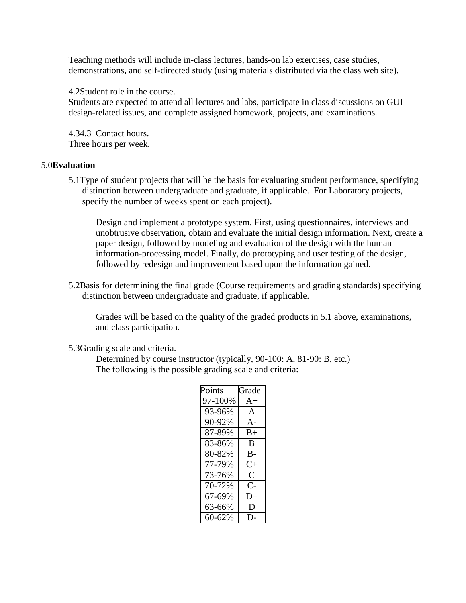Teaching methods will include in-class lectures, hands-on lab exercises, case studies, demonstrations, and self-directed study (using materials distributed via the class web site).

4.2Student role in the course.

Students are expected to attend all lectures and labs, participate in class discussions on GUI design-related issues, and complete assigned homework, projects, and examinations.

4.34.3 Contact hours. Three hours per week.

#### 5.0**Evaluation**

5.1Type of student projects that will be the basis for evaluating student performance, specifying distinction between undergraduate and graduate, if applicable. For Laboratory projects, specify the number of weeks spent on each project).

Design and implement a prototype system. First, using questionnaires, interviews and unobtrusive observation, obtain and evaluate the initial design information. Next, create a paper design, followed by modeling and evaluation of the design with the human information-processing model. Finally, do prototyping and user testing of the design, followed by redesign and improvement based upon the information gained.

5.2Basis for determining the final grade (Course requirements and grading standards) specifying distinction between undergraduate and graduate, if applicable.

Grades will be based on the quality of the graded products in 5.1 above, examinations, and class participation.

5.3Grading scale and criteria.

Determined by course instructor (typically, 90-100: A, 81-90: B, etc.) The following is the possible grading scale and criteria:

| Points  | Grade     |
|---------|-----------|
| 97-100% | $A+$      |
| 93-96%  | A         |
| 90-92%  | $A -$     |
| 87-89%  | B+        |
| 83-86%  | B         |
| 80-82%  | B-        |
| 77-79%  | $C_{\pm}$ |
| 73-76%  | $\subset$ |
| 70-72%  | C-        |
| 67-69%  | $D+$      |
| 63-66%  | D         |
| 60-62%  |           |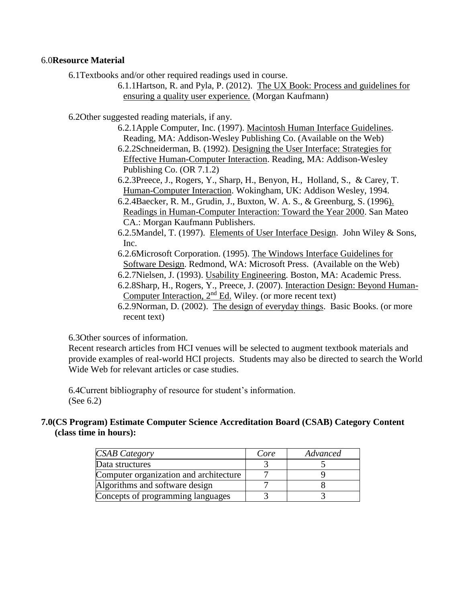#### 6.0**Resource Material**

6.1Textbooks and/or other required readings used in course.

6.1.1Hartson, R. and Pyla, P. (2012). The UX Book: Process and guidelines for ensuring a quality user experience*.* (Morgan Kaufmann)

6.2Other suggested reading materials, if any.

- 6.2.1Apple Computer, Inc. (1997). Macintosh Human Interface Guidelines. Reading, MA: Addison-Wesley Publishing Co. (Available on the Web)
- 6.2.2Schneiderman, B. (1992). Designing the User Interface: Strategies for Effective Human-Computer Interaction. Reading, MA: Addison-Wesley Publishing Co. (OR 7.1.2)
- 6.2.3Preece, J., Rogers, Y., Sharp, H., Benyon, H., Holland, S., & Carey, T. Human-Computer Interaction. Wokingham, UK: Addison Wesley, 1994.
- 6.2.4Baecker, R. M., Grudin, J., Buxton, W. A. S., & Greenburg, S. (1996). Readings in Human-Computer Interaction: Toward the Year 2000. San Mateo CA.: Morgan Kaufmann Publishers.
- 6.2.5Mandel, T. (1997). Elements of User Interface Design. John Wiley & Sons, Inc.

6.2.6Microsoft Corporation. (1995). The Windows Interface Guidelines for Software Design. Redmond, WA: Microsoft Press. (Available on the Web)

- 6.2.7Nielsen, J. (1993). Usability Engineering. Boston, MA: Academic Press.
- 6.2.8Sharp, H., Rogers, Y., Preece, J. (2007). Interaction Design: Beyond Human-Computer Interaction, 2nd Ed. Wiley. (or more recent text)
- 6.2.9Norman, D. (2002). The design of everyday things. Basic Books. (or more recent text)

6.3Other sources of information.

Recent research articles from HCI venues will be selected to augment textbook materials and provide examples of real-world HCI projects. Students may also be directed to search the World Wide Web for relevant articles or case studies.

6.4Current bibliography of resource for student's information. (See 6.2)

## **7.0(CS Program) Estimate Computer Science Accreditation Board (CSAB) Category Content (class time in hours):**

| <b>CSAB</b> Category                   | Core | Advanced |
|----------------------------------------|------|----------|
| Data structures                        |      |          |
| Computer organization and architecture |      |          |
| Algorithms and software design         |      |          |
| Concepts of programming languages      |      |          |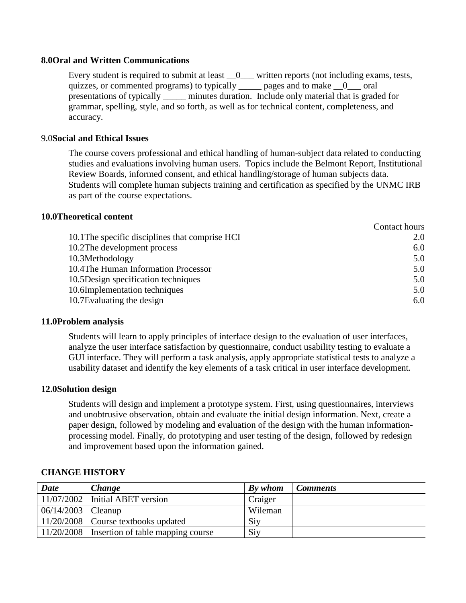#### **8.0Oral and Written Communications**

Every student is required to submit at least  $\_\_0$  written reports (not including exams, tests, quizzes, or commented programs) to typically \_\_\_\_\_ pages and to make  $\_\_0$  \_\_\_ oral presentations of typically \_\_\_\_\_ minutes duration. Include only material that is graded for grammar, spelling, style, and so forth, as well as for technical content, completeness, and accuracy.

### 9.0**Social and Ethical Issues**

The course covers professional and ethical handling of human-subject data related to conducting studies and evaluations involving human users. Topics include the Belmont Report, Institutional Review Boards, informed consent, and ethical handling/storage of human subjects data. Students will complete human subjects training and certification as specified by the UNMC IRB as part of the course expectations.

#### **10.0Theoretical content**

|                                                 | Contact hours |
|-------------------------------------------------|---------------|
| 10.1 The specific disciplines that comprise HCI | 2.0           |
| 10.2The development process                     | 6.0           |
| 10.3Methodology                                 | 5.0           |
| 10.4The Human Information Processor             | 5.0           |
| 10.5 Design specification techniques            | 5.0           |
| 10.6Implementation techniques                   | 5.0           |
| 10.7 Evaluating the design                      | 6.0           |

#### **11.0Problem analysis**

Students will learn to apply principles of interface design to the evaluation of user interfaces, analyze the user interface satisfaction by questionnaire, conduct usability testing to evaluate a GUI interface. They will perform a task analysis, apply appropriate statistical tests to analyze a usability dataset and identify the key elements of a task critical in user interface development.

#### **12.0Solution design**

Students will design and implement a prototype system. First, using questionnaires, interviews and unobtrusive observation, obtain and evaluate the initial design information. Next, create a paper design, followed by modeling and evaluation of the design with the human informationprocessing model. Finally, do prototyping and user testing of the design, followed by redesign and improvement based upon the information gained.

| <b>Date</b>          | <b>Change</b>                                  | By whom | <b>Comments</b> |
|----------------------|------------------------------------------------|---------|-----------------|
|                      | $11/07/2002$ Initial ABET version              | Craiger |                 |
| $06/14/2003$ Cleanup |                                                | Wileman |                 |
|                      | $11/20/2008$ Course textbooks updated          | Siy     |                 |
|                      | 11/20/2008   Insertion of table mapping course | Siy     |                 |

#### **CHANGE HISTORY**